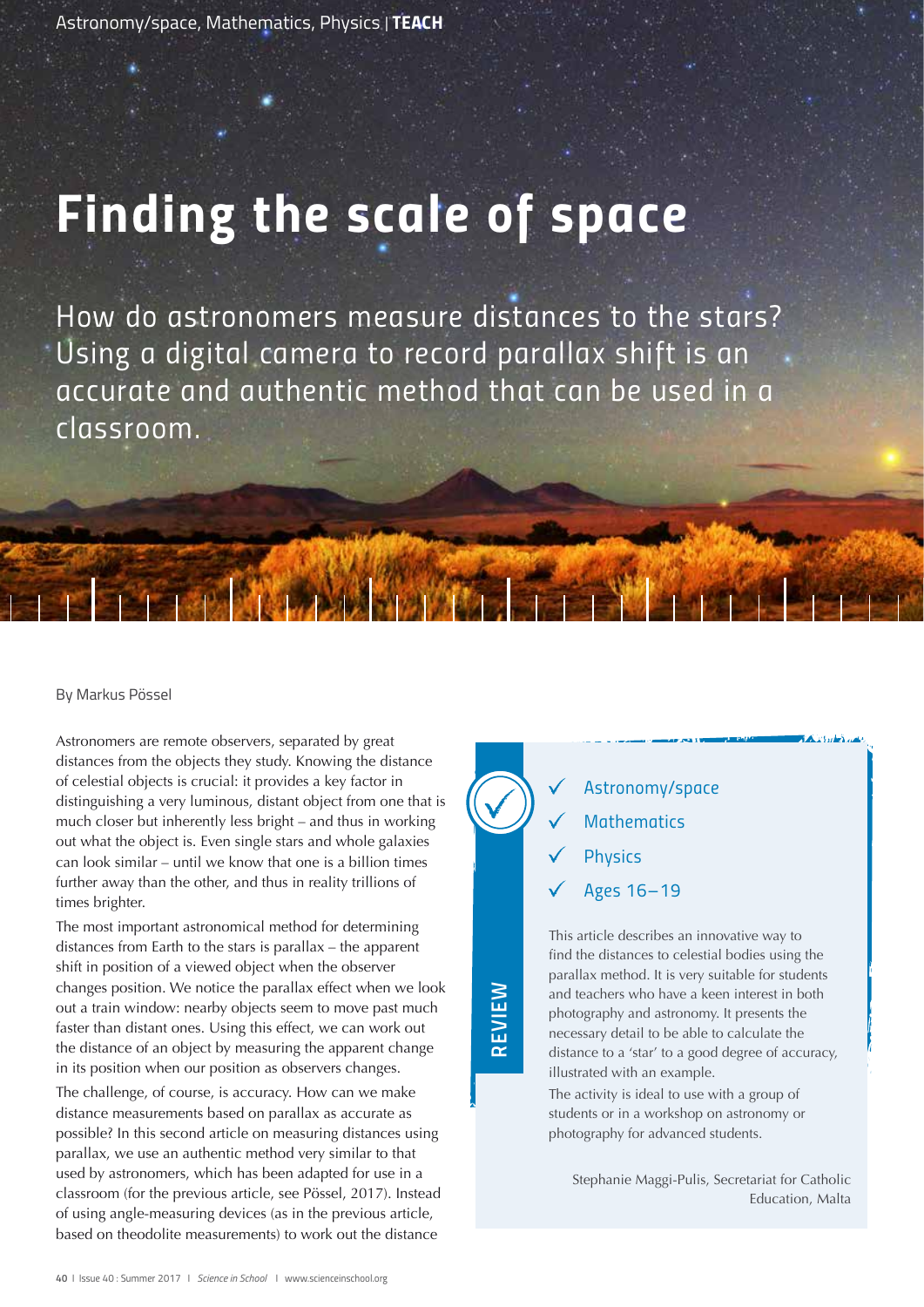# *Finding the scale of space*

*How do astronomers measure distances to the stars? Using a digital camera to record parallax shift is an accurate and authentic method that can be used in a classroom.*

#### By Markus Pössel

Astronomers are remote observers, separated by great distances from the objects they study. Knowing the distance of celestial objects is crucial: it provides a key factor in distinguishing a very luminous, distant object from one that is much closer but inherently less bright – and thus in working out what the object is. Even single stars and whole galaxies can look similar – until we know that one is a billion times further away than the other, and thus in reality trillions of times brighter.

The most important astronomical method for determining distances from Earth to the stars is parallax – the apparent shift in position of a viewed object when the observer changes position. We notice the parallax effect when we look out a train window: nearby objects seem to move past much faster than distant ones. Using this effect, we can work out the distance of an object by measuring the apparent change in its position when our position as observers changes.

The challenge, of course, is accuracy. How can we make distance measurements based on parallax as accurate as possible? In this second article on measuring distances using parallax, we use an authentic method very similar to that used by astronomers, which has been adapted for use in a classroom (for the previous article, see Pössel, 2017). Instead of using angle-measuring devices (as in the previous article, based on theodolite measurements) to work out the distance

*REVIEW*

# *Astronomy/space Mathematics*

**Alexandriana** 

- *Physics*
- *Ages 16–19*

This article describes an innovative way to find the distances to celestial bodies using the parallax method. It is very suitable for students and teachers who have a keen interest in both photography and astronomy. It presents the necessary detail to be able to calculate the distance to a 'star' to a good degree of accuracy, illustrated with an example.

The activity is ideal to use with a group of students or in a workshop on astronomy or photography for advanced students.

Stephanie Maggi-Pulis, Secretariat for Catholic Education, Malta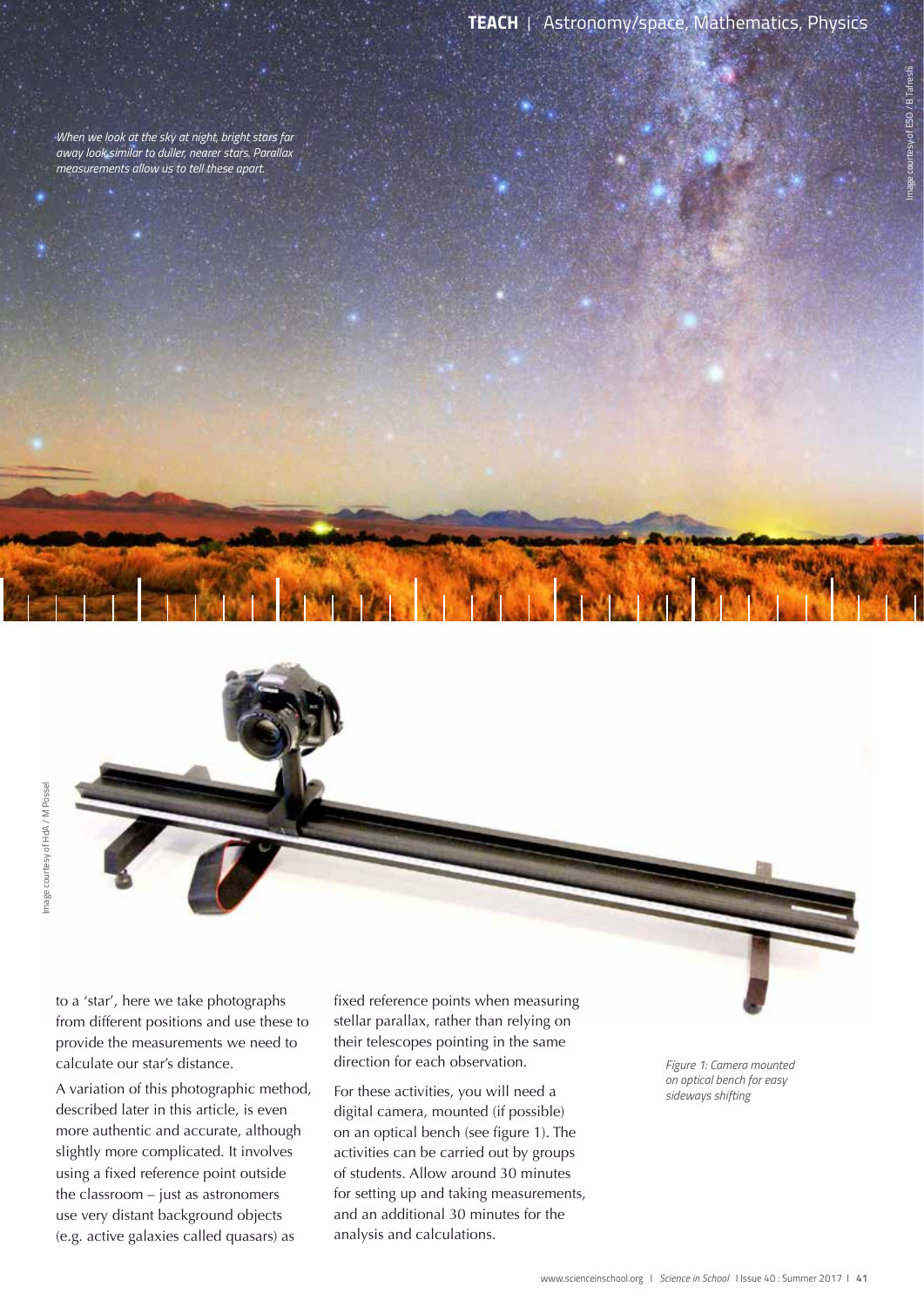*TEACH |* Astronomy/space, Mathematics, Physics

Image courtesy of ESO / B Tafreshi

*When we look at the sky at night, bright stars far away look similar to duller, nearer stars. Parallax measurements allow us to tell these apart.*

to a 'star', here we take photographs from different positions and use these to provide the measurements we need to calculate our star's distance.

A variation of this photographic method, described later in this article, is even more authentic and accurate, although slightly more complicated. It involves using a fixed reference point outside the classroom – just as astronomers use very distant background objects (e.g. active galaxies called quasars) as

fixed reference points when measuring stellar parallax, rather than relying on their telescopes pointing in the same direction for each observation.

For these activities, you will need a digital camera, mounted (if possible) on an optical bench (see figure 1). The activities can be carried out by groups of students. Allow around 30 minutes for setting up and taking measurements, and an additional 30 minutes for the analysis and calculations.

*Figure 1: Camera mounted on optical bench for easy sideways shifting*

**TARRAS SILENES**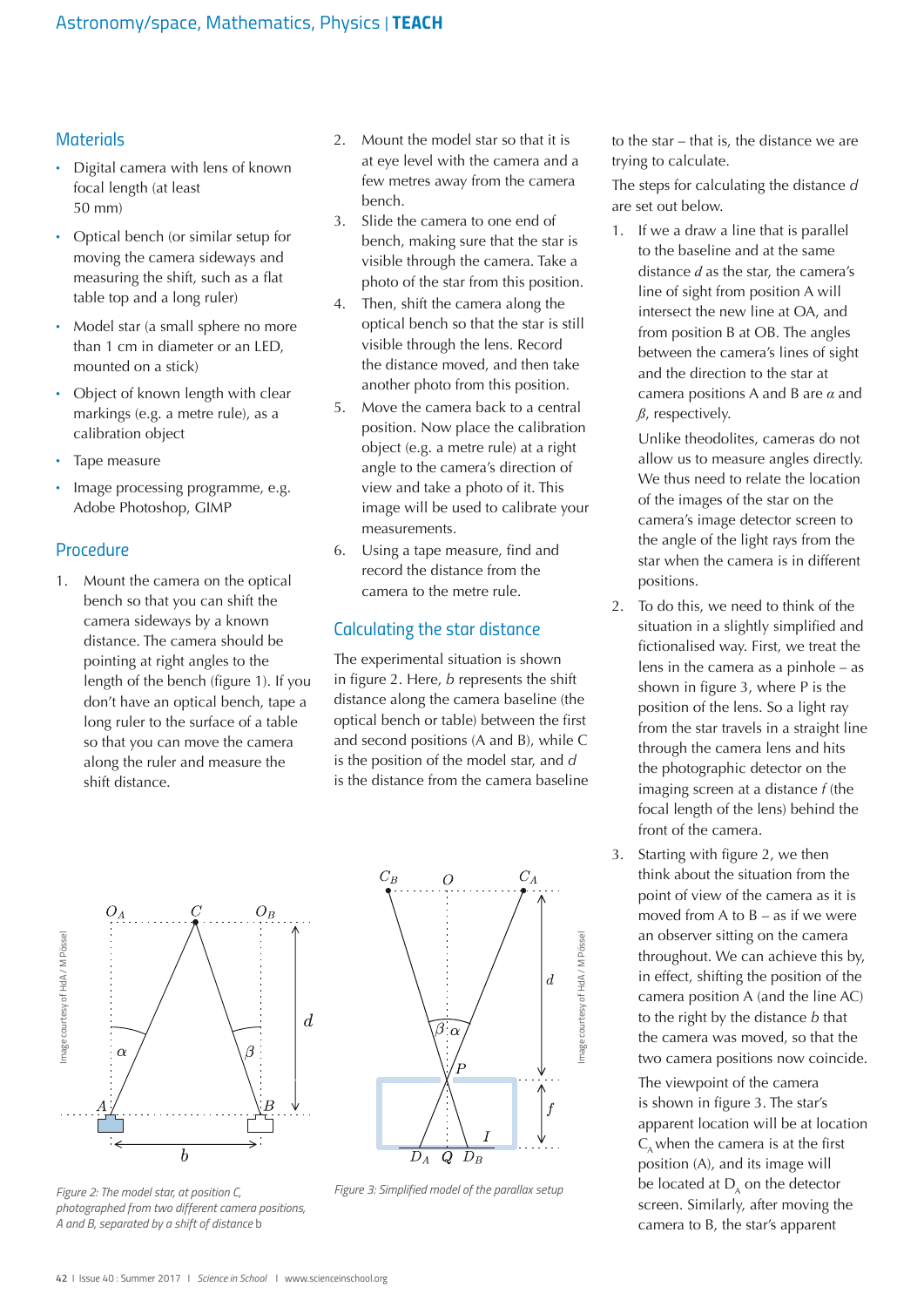# *Materials*

- · Digital camera with lens of known focal length (at least 50 mm)
- · Optical bench (or similar setup for moving the camera sideways and measuring the shift, such as a flat table top and a long ruler)
- · Model star (a small sphere no more than 1 cm in diameter or an LED, mounted on a stick)
- · Object of known length with clear markings (e.g. a metre rule), as a calibration object
- · Tape measure
- · Image processing programme, e.g. Adobe Photoshop, GIMP

## *Procedure*

1. Mount the camera on the optical bench so that you can shift the camera sideways by a known distance. The camera should be pointing at right angles to the length of the bench (figure 1). If you don't have an optical bench, tape a long ruler to the surface of a table so that you can move the camera along the ruler and measure the shift distance.

- 2. Mount the model star so that it is at eye level with the camera and a few metres away from the camera bench.
- 3. Slide the camera to one end of bench, making sure that the star is visible through the camera. Take a photo of the star from this position.
- 4. Then, shift the camera along the optical bench so that the star is still visible through the lens. Record the distance moved, and then take another photo from this position.
- 5. Move the camera back to a central position. Now place the calibration object (e.g. a metre rule) at a right angle to the camera's direction of view and take a photo of it. This image will be used to calibrate your measurements.
- 6. Using a tape measure, find and record the distance from the camera to the metre rule.

# *Calculating the star distance*

The experimental situation is shown in figure 2. Here, *b* represents the shift distance along the camera baseline (the optical bench or table) between the first and second positions (A and B), while C is the position of the model star, and *d* is the distance from the camera baseline



*Figure 2: The model star, at position C, photographed from two different camera positions, A and B, separated by a shift of distance* b



*Figure 3: Simplified model of the parallax setup*

to the star – that is, the distance we are trying to calculate.

The steps for calculating the distance *d*  are set out below.

1. If we a draw a line that is parallel to the baseline and at the same distance *d* as the star, the camera's line of sight from position A will intersect the new line at OA, and from position B at OB. The angles between the camera's lines of sight and the direction to the star at camera positions A and B are *α* and *ß*, respectively.

Unlike theodolites, cameras do not allow us to measure angles directly. We thus need to relate the location of the images of the star on the camera's image detector screen to the angle of the light rays from the star when the camera is in different positions.

- 2. To do this, we need to think of the situation in a slightly simplified and fictionalised way. First, we treat the lens in the camera as a pinhole – as shown in figure 3, where P is the position of the lens. So a light ray from the star travels in a straight line through the camera lens and hits the photographic detector on the imaging screen at a distance *f* (the focal length of the lens) behind the front of the camera.
- 3. Starting with figure 2, we then think about the situation from the point of view of the camera as it is moved from A to  $B - as$  if we were an observer sitting on the camera throughout. We can achieve this by, in effect, shifting the position of the camera position A (and the line AC) to the right by the distance *b* that the camera was moved, so that the two camera positions now coincide.

The viewpoint of the camera is shown in figure 3. The star's apparent location will be at location  $C_{\rm A}$  when the camera is at the first position (A), and its image will be located at  $D_{\lambda}$  on the detector screen. Similarly, after moving the camera to B, the star's apparent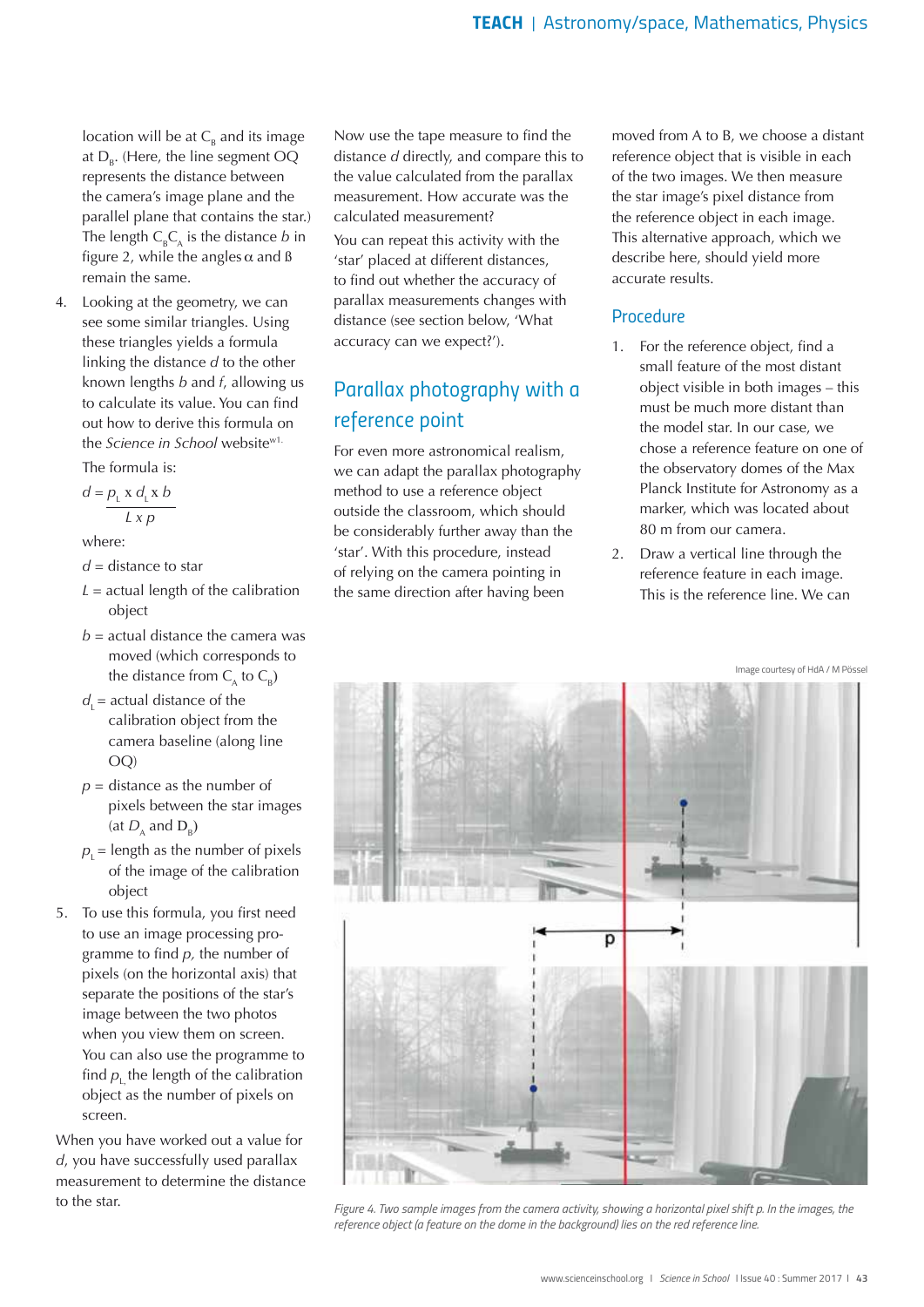location will be at  $C_{\text{B}}$  and its image at  $D_{B}$ . (Here, the line segment OQ represents the distance between the camera's image plane and the parallel plane that contains the star.) The length  $C_{B}C_{A}$  is the distance *b* in figure 2, while the angles  $\alpha$  and  $\beta$ remain the same.

4. Looking at the geometry, we can see some similar triangles. Using these triangles yields a formula linking the distance *d* to the other known lengths *b* and *f*, allowing us to calculate its value. You can find out how to derive this formula on the *Science in School* websitew1.

The formula is:

$$
d = \frac{p_{L} \times d_{L} \times b}{L \times p}
$$

where:

*d* = distance to star

- $L =$  actual length of the calibration object
- $b =$  actual distance the camera was moved (which corresponds to the distance from  $C_{\rm A}$  to  $C_{\rm B}$ )
- $d =$  actual distance of the calibration object from the camera baseline (along line OQ)
- *p* = distance as the number of pixels between the star images (at  $D_{\lambda}$  and  $D_{\rho}$ )
- $p_1$  = length as the number of pixels of the image of the calibration object
- 5. To use this formula, you first need to use an image processing programme to find *p,* the number of pixels (on the horizontal axis) that separate the positions of the star's image between the two photos when you view them on screen. You can also use the programme to find  $p_{\rm L}^{\phantom{\dag}}$  the length of the calibration object as the number of pixels on screen.

When you have worked out a value for *d*, you have successfully used parallax measurement to determine the distance to the star.

Now use the tape measure to find the distance *d* directly, and compare this to the value calculated from the parallax measurement. How accurate was the calculated measurement?

You can repeat this activity with the 'star' placed at different distances, to find out whether the accuracy of parallax measurements changes with distance (see section below, 'What accuracy can we expect?').

# *Parallax photography with a reference point*

For even more astronomical realism, we can adapt the parallax photography method to use a reference object outside the classroom, which should be considerably further away than the 'star'. With this procedure, instead of relying on the camera pointing in the same direction after having been

moved from A to B, we choose a distant reference object that is visible in each of the two images. We then measure the star image's pixel distance from the reference object in each image. This alternative approach, which we describe here, should yield more accurate results.

# *Procedure*

- 1. For the reference object, find a small feature of the most distant object visible in both images – this must be much more distant than the model star. In our case, we chose a reference feature on one of the observatory domes of the Max Planck Institute for Astronomy as a marker, which was located about 80 m from our camera.
- 2. Draw a vertical line through the reference feature in each image. This is the reference line. We can

Image courtesy of HdA / M Pössel



*Figure 4. Two sample images from the camera activity, showing a horizontal pixel shift p. In the images, the reference object (a feature on the dome in the background) lies on the red reference line.*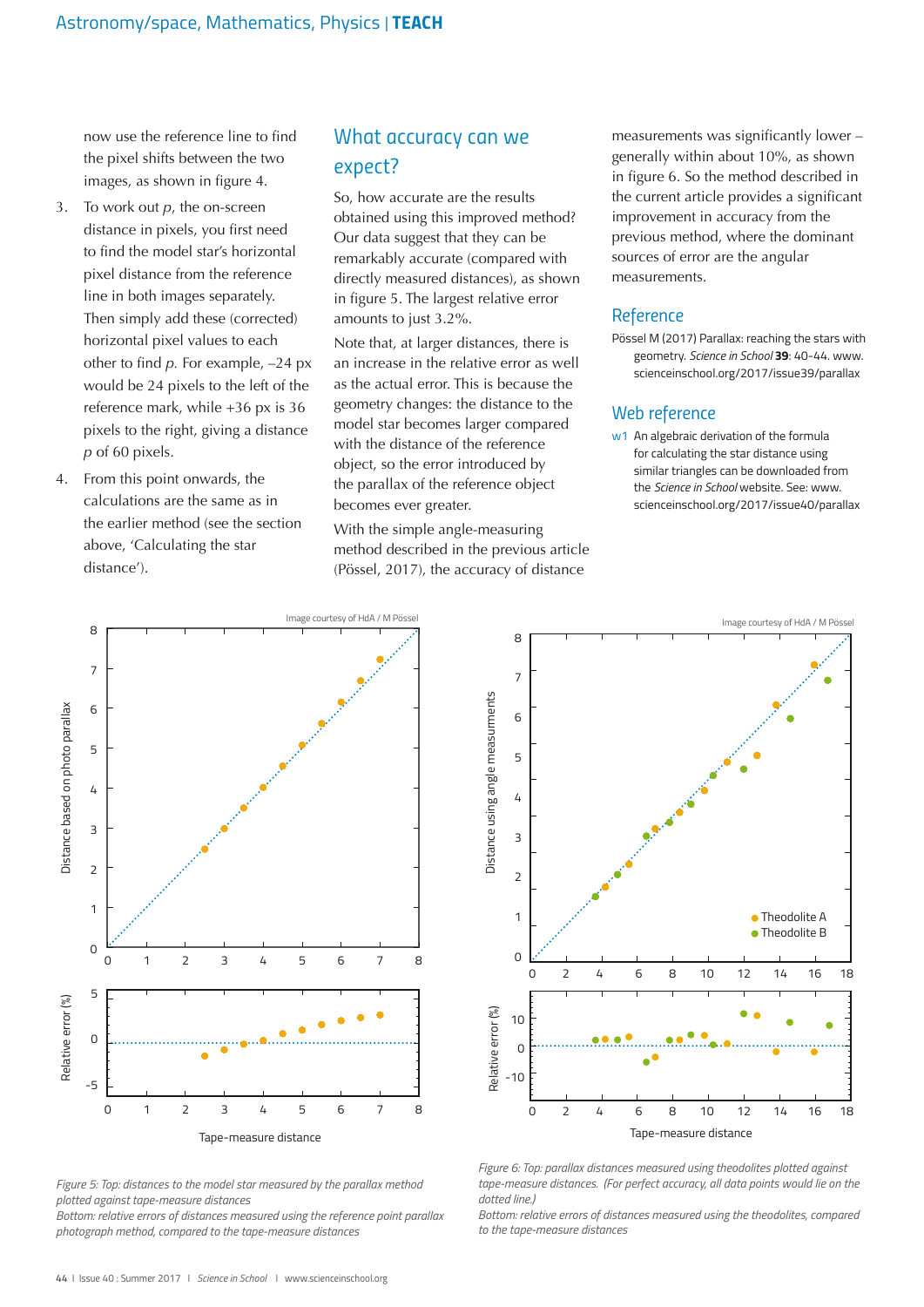now use the reference line to find the pixel shifts between the two images, as shown in figure 4.

- 3. To work out *p*, the on-screen distance in pixels, you first need to find the model star's horizontal pixel distance from the reference line in both images separately. Then simply add these (corrected) horizontal pixel values to each other to find *p.* For example, –24 px would be 24 pixels to the left of the reference mark, while +36 px is 36 pixels to the right, giving a distance *p* of 60 pixels.
- 4. From this point onwards, the calculations are the same as in the earlier method (see the section above, 'Calculating the star distance').

# *What accuracy can we expect?*

So, how accurate are the results obtained using this improved method? Our data suggest that they can be remarkably accurate (compared with directly measured distances), as shown in figure 5. The largest relative error amounts to just 3.2%.

Note that, at larger distances, there is an increase in the relative error as well as the actual error. This is because the geometry changes: the distance to the model star becomes larger compared with the distance of the reference object, so the error introduced by the parallax of the reference object becomes ever greater.

With the simple angle-measuring method described in the previous article (Pössel, 2017), the accuracy of distance

measurements was significantly lower – generally within about 10%, as shown in figure 6. So the method described in the current article provides a significant improvement in accuracy from the previous method, where the dominant sources of error are the angular measurements.

# *Reference*

Pössel M (2017) Parallax: reaching the stars with geometry. *Science in School* **39**: 40-44. www. scienceinschool.org/2017/issue39/parallax

## *Web reference*

w1 An algebraic derivation of the formula for calculating the star distance using similar triangles can be downloaded from the *Science in School* website. See: www. scienceinschool.org/2017/issue40/parallax



*Figure 5: Top: distances to the model star measured by the parallax method plotted against tape-measure distances*

*Bottom: relative errors of distances measured using the reference point parallax photograph method, compared to the tape-measure distances*



*Figure 6: Top: parallax distances measured using theodolites plotted against tape-measure distances. (For perfect accuracy, all data points would lie on the dotted line.)*

*Bottom: relative errors of distances measured using the theodolites, compared to the tape-measure distances*